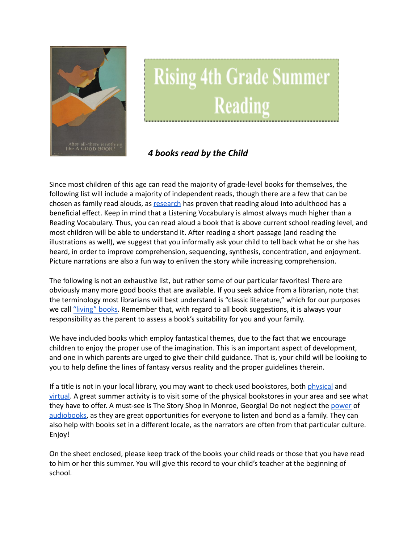

## **Rising 4th Grade Summer Reading**

## *4 books read by the Child*

Since most children of this age can read the majority of grade-level books for themselves, the following list will include a majority of independent reads, though there are a few that can be chosen as family read alouds, as [research](https://www.greatschools.org/gk/articles/read-aloud-to-children/) has proven that reading aloud into adulthood has a beneficial effect. Keep in mind that a Listening Vocabulary is almost always much higher than a Reading Vocabulary. Thus, you can read aloud a book that is above current school reading level, and most children will be able to understand it. After reading a short passage (and reading the illustrations as well), we suggest that you informally ask your child to tell back what he or she has heard, in order to improve comprehension, sequencing, synthesis, concentration, and enjoyment. Picture narrations are also a fun way to enliven the story while increasing comprehension.

The following is not an exhaustive list, but rather some of our particular favorites! There are obviously many more good books that are available. If you seek advice from a librarian, note that the terminology most librarians will best understand is "classic literature," which for our purposes we call ["living"](https://charlottemasonhome.com/2007/05/30/literature-by-grade/) books. Remember that, with regard to all book suggestions, it is always your responsibility as the parent to assess a book's suitability for you and your family.

We have included books which employ fantastical themes, due to the fact that we encourage children to enjoy the proper use of the imagination. This is an important aspect of development, and one in which parents are urged to give their child guidance. That is, your child will be looking to you to help define the lines of fantasy versus reality and the proper guidelines therein.

If a title is not in your local library, you may want to check used bookstores, both [physical](https://www.atlantaparent.com/top-kids-bookstores-in-atlanta/) and [virtual.](https://booksliced.com/books/here-are-the-20-best-websites-to-use-next-time-you-shop-for-paperback-and-hardcover-books-online/) A great summer activity is to visit some of the physical bookstores in your area and see what they have to offer. A must-see is The Story Shop in Monroe, Georgia! Do not neglect the [power](https://www.learningliftoff.com/free-audio-books-for-kids/) of [audiobooks](https://mashable.com/article/free-audiobooks/), as they are great opportunities for everyone to listen and bond as a family. They can also help with books set in a different locale, as the narrators are often from that particular culture. Enjoy!

On the sheet enclosed, please keep track of the books your child reads or those that you have read to him or her this summer. You will give this record to your child's teacher at the beginning of school.